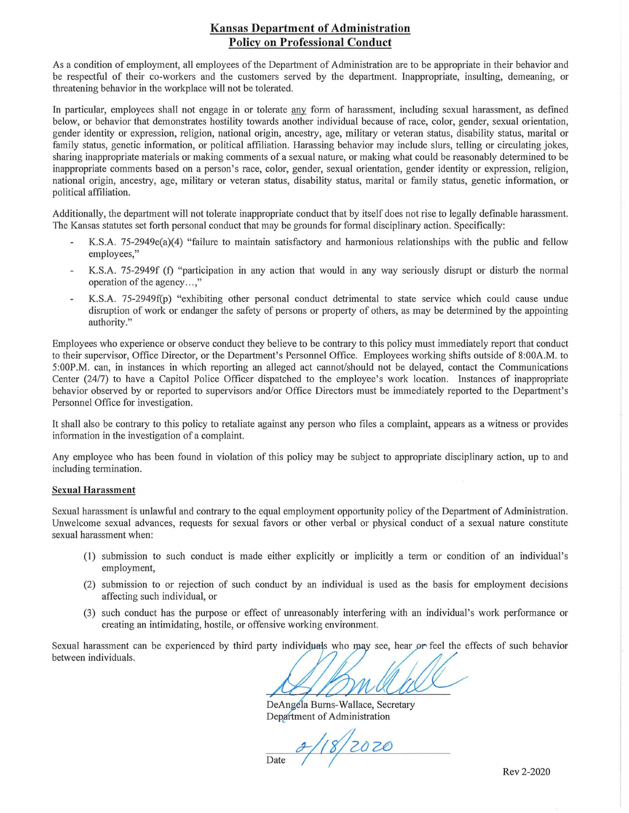## **Kansas Department of Administration Policy on Professional Conduct**

As a condition of employment, all employees of the Department of Administration are to be appropriate in their behavior and be respectful of their co-workers and the customers served by the depmtment. Inappropriate, insulting, demeaning, or threatening behavior in the workplace will not be tolerated.

In particular, employees shall not engage in or tolerate any form of harassment, including sexual harassment, as defined below, or behavior that demonstrates hostility towards another individual because of race, color, gender, sexual orientation, gender identity or expression, religion, national origin, ancestry, age, military or veteran status, disability status, marital or family status, genetic information, or political affiliation. Harassing behavior may include slurs, telling or circulating jokes, sharing inappropriate materials or making comments of a sexual nature, or making what could be reasonably determined to be inappropriate comments based on a person's race, color, gender, sexual orientation, gender identity or expression, religion, national origin, ancestry, age, military or veteran status, disability status, marital or family status, genetic information, or political affiliation.

Additionally, the department will not tolerate inappropriate conduct that by itself does not rise to legally defmable harassment. The Kansas statutes set forth personal conduct that may be grounds for formal disciplinary action. Specifically:

- K.S.A. 75-2949e(a)(4) "failure to maintain satisfactory and harmonious relationships with the public and fellow employees,"
- K.S.A. 75-2949f (f) "participation in any action that would in any way seriously disrupt or disturb the normal operation of the agency...."
- K.S.A. 75-2949f(p) "exhibiting other personal conduct detrimental to state service which could cause undue L, disruption of work or endanger the safety of persons or property of others, as may be determined by the appointing authority."

Employees who experience or observe conduct they believe to be contrary to this policy must immediately report that conduct to their supervisor, Office Director, or the Department's Personnel Office. Employees working shifts outside of 8:00A.M. to 5:00P.M. can, in instances in which reporting an alleged act cannot/should not be delayed, contact the Communications Center (24/7) to have a Capitol Police Officer dispatched to the employee's work location. Instances of inappropriate behavior observed by or reported to supervisors and/or Office Directors must be immediately reported to the Department's Personnel Office for investigation.

It shall also be contrary to this policy to retaliate against any person who files a complaint, appears as a witness or provides information in the investigation of a complaint.

Any employee who has been found in violation of this policy may be subject to appropriate disciplinary action, up to and including termination.

## Sexual Harassment

Sexual harassment is unlawful and contrary to the equal employment opportunity policy of the Department of Administration. Unwelcome sexual advances, requests for sexual favors or other verbal or physical conduct of a sexual nature constitute sexual harassment when:

- (1) submission to such conduct is made either explicitly or implicitly a term or condition of an individual's employment,
- (2) submission to or rejection of such conduct by an individual is used as the basis for employment decisions affecting such individual, or
- (3) such conduct has the purpose or effect of unreasonably interfering with an individual's work performance or creating an intimidating, hostile, or offensive working environment.

Sexual harassment can be experienced by third party individuals who may see, hear or feel the effects of such behavior between individuals.

DeAngela Burns-Wallace, Secretary Department of Administration

 $\frac{2}{\text{Date}}$  /18/2020